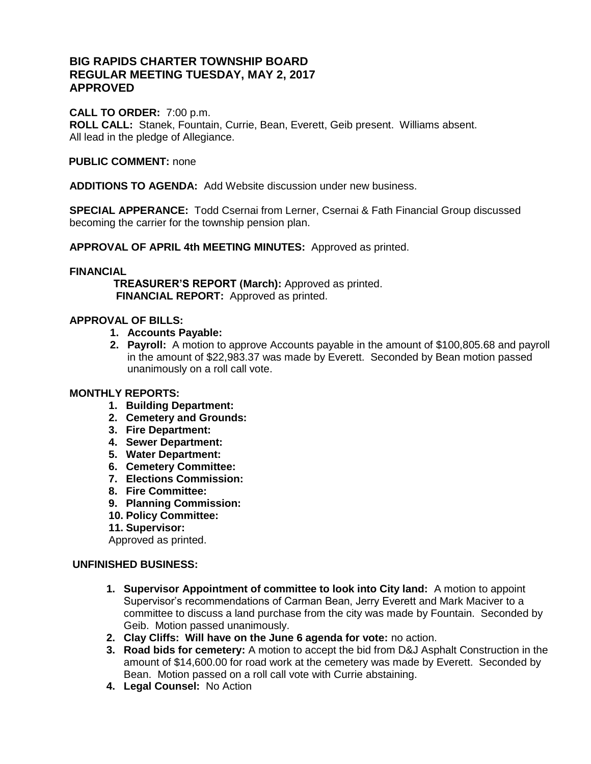# **BIG RAPIDS CHARTER TOWNSHIP BOARD REGULAR MEETING TUESDAY, MAY 2, 2017 APPROVED**

## **CALL TO ORDER:** 7:00 p.m.

**ROLL CALL:** Stanek, Fountain, Currie, Bean, Everett, Geib present. Williams absent. All lead in the pledge of Allegiance.

## **PUBLIC COMMENT:** none

**ADDITIONS TO AGENDA:** Add Website discussion under new business.

**SPECIAL APPERANCE:** Todd Csernai from Lerner, Csernai & Fath Financial Group discussed becoming the carrier for the township pension plan.

**APPROVAL OF APRIL 4th MEETING MINUTES:** Approved as printed.

#### **FINANCIAL**

 **TREASURER'S REPORT (March):** Approved as printed.  **FINANCIAL REPORT:** Approved as printed.

# **APPROVAL OF BILLS:**

- **1. Accounts Payable:**
- **2. Payroll:** A motion to approve Accounts payable in the amount of \$100,805.68 and payroll in the amount of \$22,983.37 was made by Everett. Seconded by Bean motion passed unanimously on a roll call vote.

# **MONTHLY REPORTS:**

- **1. Building Department:**
- **2. Cemetery and Grounds:**
- **3. Fire Department:**
- **4. Sewer Department:**
- **5. Water Department:**
- **6. Cemetery Committee:**
- **7. Elections Commission:**
- **8. Fire Committee:**
- **9. Planning Commission:**
- **10. Policy Committee:**
- **11. Supervisor:**

Approved as printed.

## **UNFINISHED BUSINESS:**

- **1. Supervisor Appointment of committee to look into City land:** A motion to appoint Supervisor's recommendations of Carman Bean, Jerry Everett and Mark Maciver to a committee to discuss a land purchase from the city was made by Fountain. Seconded by Geib. Motion passed unanimously.
- **2. Clay Cliffs: Will have on the June 6 agenda for vote:** no action.
- **3. Road bids for cemetery:** A motion to accept the bid from D&J Asphalt Construction in the amount of \$14,600.00 for road work at the cemetery was made by Everett. Seconded by Bean. Motion passed on a roll call vote with Currie abstaining.
- **4. Legal Counsel:** No Action